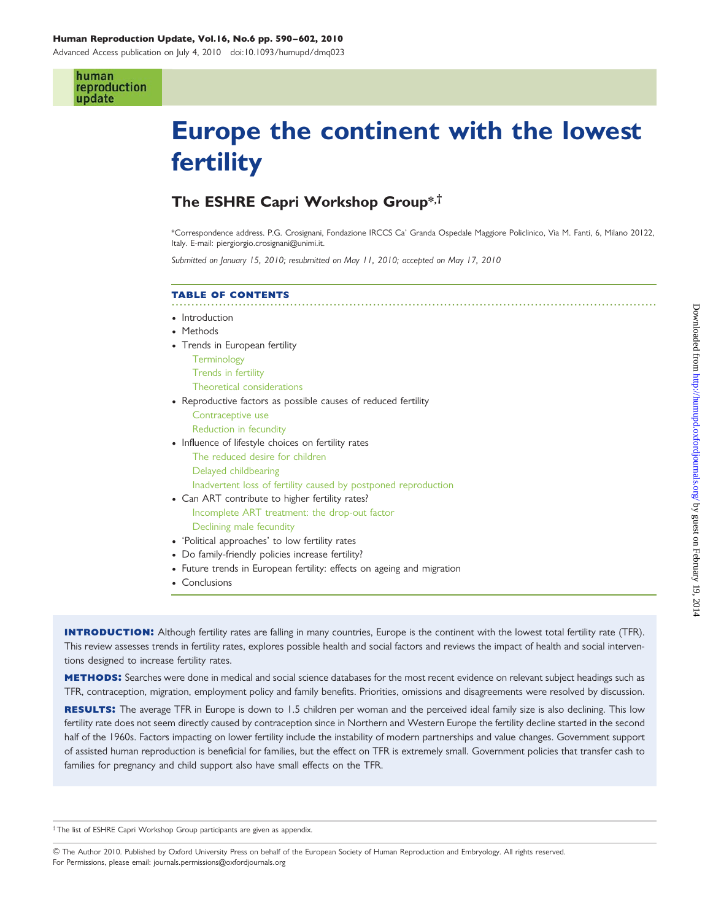#### Human Reproduction Update, Vol.16, No.6 pp. 590–602, 2010

Advanced Access publication on July 4, 2010 doi:10.1093/humupd/dmq023

#### human reproduction update

# Europe the continent with the lowest fertility

### The ESHRE Capri Workshop Group\*,†

\*Correspondence address. P.G. Crosignani, Fondazione IRCCS Ca' Granda Ospedale Maggiore Policlinico, Via M. Fanti, 6, Milano 20122, Italy. E-mail: piergiorgio.crosignani@unimi.it.

Submitted on January 15, 2010; resubmitted on May 11, 2010; accepted on May 17, 2010

#### ........................................................................................................................... table of contents • Introduction • Methods • Trends in European fertility **Terminology** Trends in fertility Theoretical considerations • Reproductive factors as possible causes of reduced fertility Contraceptive use Reduction in fecundity • Influence of lifestyle choices on fertility rates The reduced desire for children Delayed childbearing Inadvertent loss of fertility caused by postponed reproduction • Can ART contribute to higher fertility rates? Incomplete ART treatment: the drop-out factor Declining male fecundity † 'Political approaches' to low fertility rates • Do family-friendly policies increase fertility? • Future trends in European fertility: effects on ageing and migration • Conclusions

**INTRODUCTION:** Although fertility rates are falling in many countries, Europe is the continent with the lowest total fertility rate (TFR). This review assesses trends in fertility rates, explores possible health and social factors and reviews the impact of health and social interventions designed to increase fertility rates.

METHODS: Searches were done in medical and social science databases for the most recent evidence on relevant subject headings such as TFR, contraception, migration, employment policy and family benefits. Priorities, omissions and disagreements were resolved by discussion.

RESULTS: The average TFR in Europe is down to 1.5 children per woman and the perceived ideal family size is also declining. This low fertility rate does not seem directly caused by contraception since in Northern and Western Europe the fertility decline started in the second half of the 1960s. Factors impacting on lower fertility include the instability of modern partnerships and value changes. Government support of assisted human reproduction is beneficial for families, but the effect on TFR is extremely small. Government policies that transfer cash to families for pregnancy and child support also have small effects on the TFR.

† The list of ESHRE Capri Workshop Group participants are given as appendix.

& The Author 2010. Published by Oxford University Press on behalf of the European Society of Human Reproduction and Embryology. All rights reserved. For Permissions, please email: journals.permissions@oxfordjournals.org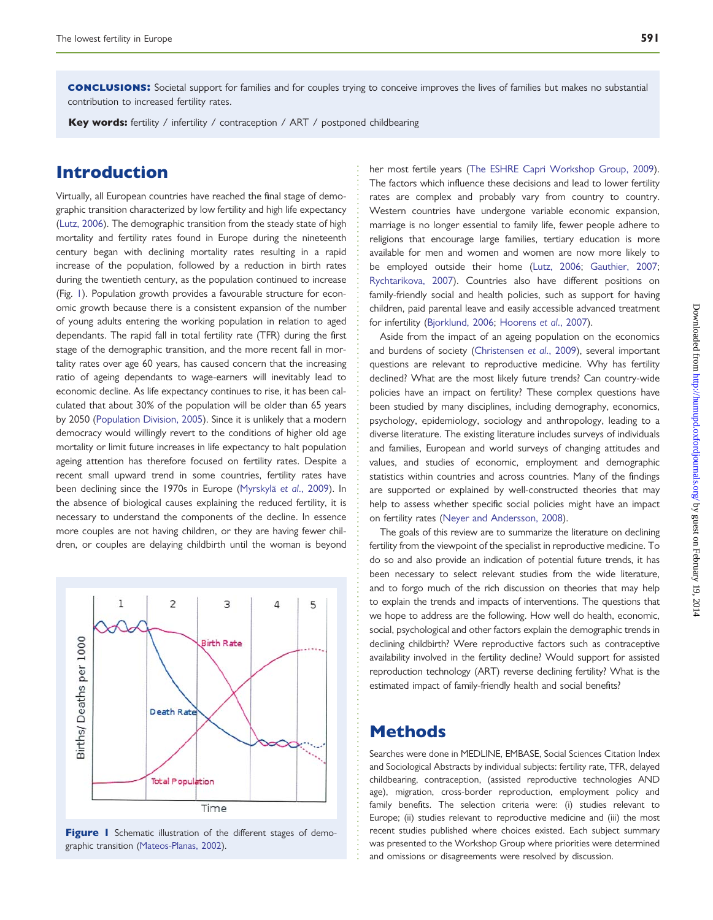conclusions: Societal support for families and for couples trying to conceive improves the lives of families but makes no substantial contribution to increased fertility rates.

Key words: fertility / infertility / contraception / ART / postponed childbearing

### Introduction

Virtually, all European countries have reached the final stage of demographic transition characterized by low fertility and high life expectancy [\(Lutz, 2006\)](#page-11-0). The demographic transition from the steady state of high mortality and fertility rates found in Europe during the nineteenth century began with declining mortality rates resulting in a rapid increase of the population, followed by a reduction in birth rates during the twentieth century, as the population continued to increase (Fig. 1). Population growth provides a favourable structure for economic growth because there is a consistent expansion of the number of young adults entering the working population in relation to aged dependants. The rapid fall in total fertility rate (TFR) during the first stage of the demographic transition, and the more recent fall in mortality rates over age 60 years, has caused concern that the increasing ratio of ageing dependants to wage-earners will inevitably lead to economic decline. As life expectancy continues to rise, it has been calculated that about 30% of the population will be older than 65 years by 2050 ([Population Division, 2005](#page-11-0)). Since it is unlikely that a modern democracy would willingly revert to the conditions of higher old age mortality or limit future increases in life expectancy to halt population ageing attention has therefore focused on fertility rates. Despite a recent small upward trend in some countries, fertility rates have been declining since the 1970s in Europe (Myrskylä et al., 2009). In the absence of biological causes explaining the reduced fertility, it is necessary to understand the components of the decline. In essence more couples are not having children, or they are having fewer children, or couples are delaying childbirth until the woman is beyond



Figure I Schematic illustration of the different stages of demographic transition ([Mateos-Planas, 2002](#page-11-0)).

her most fertile years [\(The ESHRE Capri Workshop Group, 2009\)](#page-12-0). The factors which influence these decisions and lead to lower fertility rates are complex and probably vary from country to country. Western countries have undergone variable economic expansion, marriage is no longer essential to family life, fewer people adhere to religions that encourage large families, tertiary education is more available for men and women and women are now more likely to be employed outside their home ([Lutz, 2006](#page-11-0); [Gauthier, 2007;](#page-11-0) [Rychtarikova, 2007](#page-12-0)). Countries also have different positions on family-friendly social and health policies, such as support for having children, paid parental leave and easily accessible advanced treatment for infertility [\(Bjorklund, 2006](#page-10-0); [Hoorens](#page-11-0) et al., 2007).

Aside from the impact of an ageing population on the economics and burdens of society ([Christensen](#page-10-0) et al., 2009), several important questions are relevant to reproductive medicine. Why has fertility declined? What are the most likely future trends? Can country-wide policies have an impact on fertility? These complex questions have been studied by many disciplines, including demography, economics, psychology, epidemiology, sociology and anthropology, leading to a diverse literature. The existing literature includes surveys of individuals and families, European and world surveys of changing attitudes and values, and studies of economic, employment and demographic statistics within countries and across countries. Many of the findings are supported or explained by well-constructed theories that may help to assess whether specific social policies might have an impact on fertility rates ([Neyer and Andersson, 2008](#page-11-0)).

The goals of this review are to summarize the literature on declining fertility from the viewpoint of the specialist in reproductive medicine. To do so and also provide an indication of potential future trends, it has been necessary to select relevant studies from the wide literature, and to forgo much of the rich discussion on theories that may help to explain the trends and impacts of interventions. The questions that we hope to address are the following. How well do health, economic, social, psychological and other factors explain the demographic trends in declining childbirth? Were reproductive factors such as contraceptive availability involved in the fertility decline? Would support for assisted reproduction technology (ART) reverse declining fertility? What is the estimated impact of family-friendly health and social benefits?

### Methods

Searches were done in MEDLINE, EMBASE, Social Sciences Citation Index and Sociological Abstracts by individual subjects: fertility rate, TFR, delayed childbearing, contraception, (assisted reproductive technologies AND age), migration, cross-border reproduction, employment policy and family benefits. The selection criteria were: (i) studies relevant to Europe; (ii) studies relevant to reproductive medicine and (iii) the most recent studies published where choices existed. Each subject summary was presented to the Workshop Group where priorities were determined and omissions or disagreements were resolved by discussion.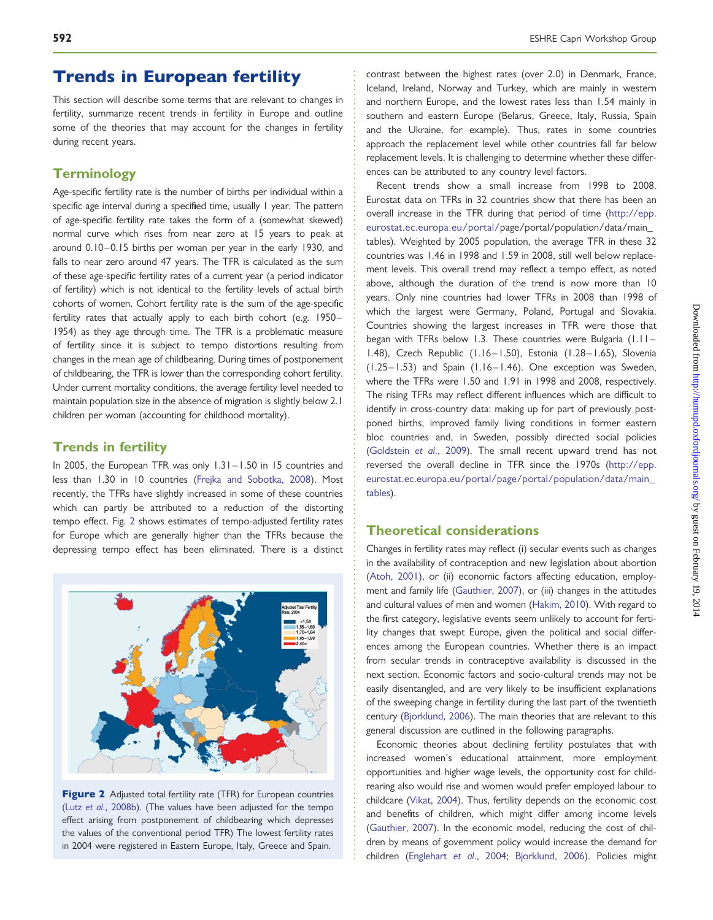#### **592** ESHRE Capri Workshop Group

### Trends in European fertility

This section will describe some terms that are relevant to changes in fertility, summarize recent trends in fertility in Europe and outline some of the theories that may account for the changes in fertility during recent years.

### **Terminology**

Age-specific fertility rate is the number of births per individual within a specific age interval during a specified time, usually 1 year. The pattern of age-specific fertility rate takes the form of a (somewhat skewed) normal curve which rises from near zero at 15 years to peak at around 0.10–0.15 births per woman per year in the early 1930, and falls to near zero around 47 years. The TFR is calculated as the sum of these age-specific fertility rates of a current year (a period indicator of fertility) which is not identical to the fertility levels of actual birth cohorts of women. Cohort fertility rate is the sum of the age-specific fertility rates that actually apply to each birth cohort (e.g. 1950– 1954) as they age through time. The TFR is a problematic measure of fertility since it is subject to tempo distortions resulting from changes in the mean age of childbearing. During times of postponement of childbearing, the TFR is lower than the corresponding cohort fertility. Under current mortality conditions, the average fertility level needed to maintain population size in the absence of migration is slightly below 2.1 children per woman (accounting for childhood mortality).

#### Trends in fertility

In 2005, the European TFR was only 1.31 –1.50 in 15 countries and less than 1.30 in 10 countries [\(Frejka and Sobotka, 2008\)](#page-11-0). Most recently, the TFRs have slightly increased in some of these countries which can partly be attributed to a reduction of the distorting tempo effect. Fig. 2 shows estimates of tempo-adjusted fertility rates for Europe which are generally higher than the TFRs because the depressing tempo effect has been eliminated. There is a distinct



Figure 2 Adjusted total fertility rate (TFR) for European countries (Lutz et al[., 2008b](#page-11-0)). (The values have been adjusted for the tempo effect arising from postponement of childbearing which depresses the values of the conventional period TFR) The lowest fertility rates in 2004 were registered in Eastern Europe, Italy, Greece and Spain.

contrast between the highest rates (over 2.0) in Denmark, France, Iceland, Ireland, Norway and Turkey, which are mainly in western and northern Europe, and the lowest rates less than 1.54 mainly in southern and eastern Europe (Belarus, Greece, Italy, Russia, Spain and the Ukraine, for example). Thus, rates in some countries approach the replacement level while other countries fall far below replacement levels. It is challenging to determine whether these differences can be attributed to any country level factors.

Recent trends show a small increase from 1998 to 2008. Eurostat data on TFRs in 32 countries show that there has been an overall increase in the TFR during that period of time [\(http://epp.](http://epp.eurostat.ec.europa.eu/portal/) [eurostat.ec.europa.eu/portal/p](http://epp.eurostat.ec.europa.eu/portal/)age/portal/population/data/main\_ tables). Weighted by 2005 population, the average TFR in these 32 countries was 1.46 in 1998 and 1.59 in 2008, still well below replacement levels. This overall trend may reflect a tempo effect, as noted above, although the duration of the trend is now more than 10 years. Only nine countries had lower TFRs in 2008 than 1998 of which the largest were Germany, Poland, Portugal and Slovakia. Countries showing the largest increases in TFR were those that began with TFRs below 1.3. These countries were Bulgaria (1.11– 1.48), Czech Republic (1.16–1.50), Estonia (1.28–1.65), Slovenia (1.25–1.53) and Spain (1.16–1.46). One exception was Sweden, where the TFRs were 1.50 and 1.91 in 1998 and 2008, respectively. The rising TFRs may reflect different influences which are difficult to identify in cross-country data: making up for part of previously postponed births, improved family living conditions in former eastern bloc countries and, in Sweden, possibly directed social policies ([Goldstein](#page-11-0) et al., 2009). The small recent upward trend has not reversed the overall decline in TFR since the 1970s [\(http://epp.](http://epp.eurostat.ec.europa.eu/portal/page/portal/population/data/main_tables) [eurostat.ec.europa.eu/portal/page/portal/population/data/main\\_](http://epp.eurostat.ec.europa.eu/portal/page/portal/population/data/main_tables) [tables](http://epp.eurostat.ec.europa.eu/portal/page/portal/population/data/main_tables)).

#### Theoretical considerations

Changes in fertility rates may reflect (i) secular events such as changes in the availability of contraception and new legislation about abortion ([Atoh, 2001\)](#page-10-0), or (ii) economic factors affecting education, employment and family life [\(Gauthier, 2007\)](#page-11-0), or (iii) changes in the attitudes and cultural values of men and women [\(Hakim, 2010](#page-11-0)). With regard to the first category, legislative events seem unlikely to account for fertility changes that swept Europe, given the political and social differences among the European countries. Whether there is an impact from secular trends in contraceptive availability is discussed in the next section. Economic factors and socio-cultural trends may not be easily disentangled, and are very likely to be insufficient explanations of the sweeping change in fertility during the last part of the twentieth century [\(Bjorklund, 2006\)](#page-10-0). The main theories that are relevant to this general discussion are outlined in the following paragraphs.

Economic theories about declining fertility postulates that with increased women's educational attainment, more employment opportunities and higher wage levels, the opportunity cost for childrearing also would rise and women would prefer employed labour to childcare [\(Vikat, 2004](#page-12-0)). Thus, fertility depends on the economic cost and benefits of children, which might differ among income levels ([Gauthier, 2007](#page-11-0)). In the economic model, reducing the cost of children by means of government policy would increase the demand for children [\(Englehart](#page-10-0) et al., 2004; [Bjorklund, 2006](#page-10-0)). Policies might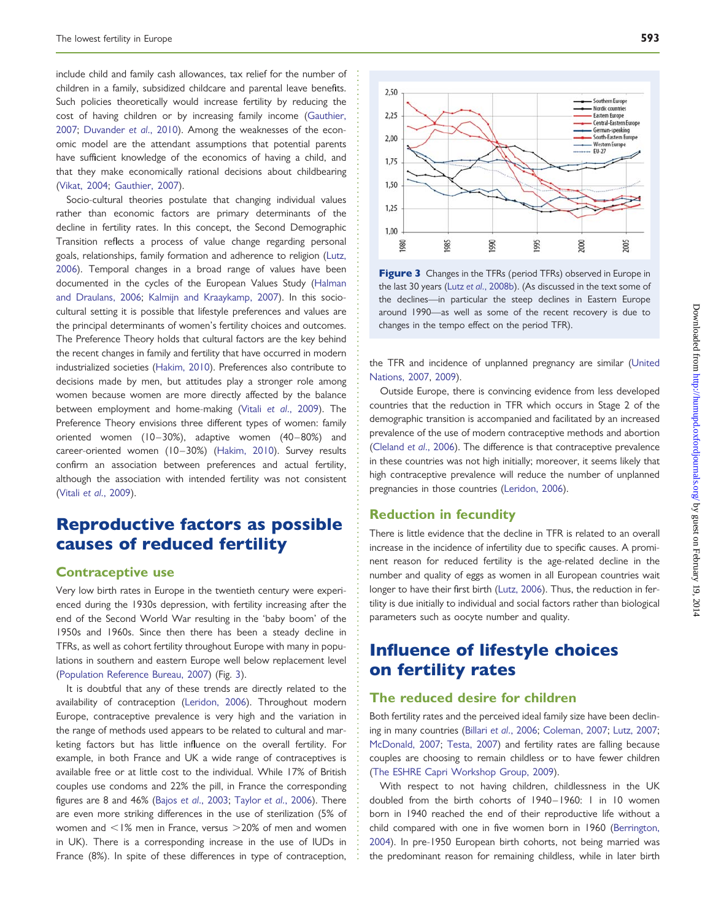include child and family cash allowances, tax relief for the number of children in a family, subsidized childcare and parental leave benefits. Such policies theoretically would increase fertility by reducing the cost of having children or by increasing family income [\(Gauthier,](#page-11-0) [2007](#page-11-0); [Duvander](#page-10-0) et al., 2010). Among the weaknesses of the economic model are the attendant assumptions that potential parents have sufficient knowledge of the economics of having a child, and that they make economically rational decisions about childbearing [\(Vikat, 2004;](#page-12-0) [Gauthier, 2007\)](#page-11-0).

Socio-cultural theories postulate that changing individual values rather than economic factors are primary determinants of the decline in fertility rates. In this concept, the Second Demographic Transition reflects a process of value change regarding personal goals, relationships, family formation and adherence to religion [\(Lutz,](#page-11-0) [2006](#page-11-0)). Temporal changes in a broad range of values have been documented in the cycles of the European Values Study [\(Halman](#page-11-0) [and Draulans, 2006](#page-11-0); [Kalmijn and Kraaykamp, 2007](#page-11-0)). In this sociocultural setting it is possible that lifestyle preferences and values are the principal determinants of women's fertility choices and outcomes. The Preference Theory holds that cultural factors are the key behind the recent changes in family and fertility that have occurred in modern industrialized societies ([Hakim, 2010](#page-11-0)). Preferences also contribute to decisions made by men, but attitudes play a stronger role among women because women are more directly affected by the balance between employment and home-making (Vitali et al[., 2009\)](#page-12-0). The Preference Theory envisions three different types of women: family oriented women (10-30%), adaptive women (40-80%) and career-oriented women (10-30%) [\(Hakim, 2010](#page-11-0)). Survey results confirm an association between preferences and actual fertility, although the association with intended fertility was not consistent (Vitali et al[., 2009](#page-12-0)).

### Reproductive factors as possible causes of reduced fertility

#### Contraceptive use

Very low birth rates in Europe in the twentieth century were experienced during the 1930s depression, with fertility increasing after the end of the Second World War resulting in the 'baby boom' of the 1950s and 1960s. Since then there has been a steady decline in TFRs, as well as cohort fertility throughout Europe with many in populations in southern and eastern Europe well below replacement level [\(Population Reference Bureau, 2007\)](#page-11-0) (Fig. 3).

It is doubtful that any of these trends are directly related to the availability of contraception ([Leridon, 2006\)](#page-11-0). Throughout modern Europe, contraceptive prevalence is very high and the variation in the range of methods used appears to be related to cultural and marketing factors but has little influence on the overall fertility. For example, in both France and UK a wide range of contraceptives is available free or at little cost to the individual. While 17% of British couples use condoms and 22% the pill, in France the corresponding figures are 8 and 46% (Bajos et al[., 2003](#page-10-0); Taylor et al[., 2006](#page-12-0)). There are even more striking differences in the use of sterilization (5% of women and  $\leq$ 1% men in France, versus  $>$ 20% of men and women in UK). There is a corresponding increase in the use of IUDs in France (8%). In spite of these differences in type of contraception,



Figure 3 Changes in the TFRs (period TFRs) observed in Europe in the last 30 years (Lutz et al[., 2008b\)](#page-11-0). (As discussed in the text some of the declines—in particular the steep declines in Eastern Europe around 1990—as well as some of the recent recovery is due to changes in the tempo effect on the period TFR).

the TFR and incidence of unplanned pregnancy are similar ([United](#page-12-0) [Nations, 2007,](#page-12-0) [2009\)](#page-12-0).

Outside Europe, there is convincing evidence from less developed countries that the reduction in TFR which occurs in Stage 2 of the demographic transition is accompanied and facilitated by an increased prevalence of the use of modern contraceptive methods and abortion [\(Cleland](#page-10-0) et al., 2006). The difference is that contraceptive prevalence in these countries was not high initially; moreover, it seems likely that high contraceptive prevalence will reduce the number of unplanned pregnancies in those countries [\(Leridon, 2006\)](#page-11-0).

#### Reduction in fecundity

There is little evidence that the decline in TFR is related to an overall increase in the incidence of infertility due to specific causes. A prominent reason for reduced fertility is the age-related decline in the number and quality of eggs as women in all European countries wait longer to have their first birth ([Lutz, 2006\)](#page-11-0). Thus, the reduction in fertility is due initially to individual and social factors rather than biological parameters such as oocyte number and quality.

### Influence of lifestyle choices on fertility rates

#### The reduced desire for children

Both fertility rates and the perceived ideal family size have been declining in many countries (Billari et al[., 2006;](#page-10-0) [Coleman, 2007;](#page-10-0) [Lutz, 2007;](#page-11-0) [McDonald, 2007](#page-11-0); [Testa, 2007\)](#page-12-0) and fertility rates are falling because couples are choosing to remain childless or to have fewer children [\(The ESHRE Capri Workshop Group, 2009\)](#page-12-0).

With respect to not having children, childlessness in the UK doubled from the birth cohorts of 1940–1960: 1 in 10 women born in 1940 reached the end of their reproductive life without a child compared with one in five women born in 1960 [\(Berrington,](#page-10-0) [2004](#page-10-0)). In pre-1950 European birth cohorts, not being married was the predominant reason for remaining childless, while in later birth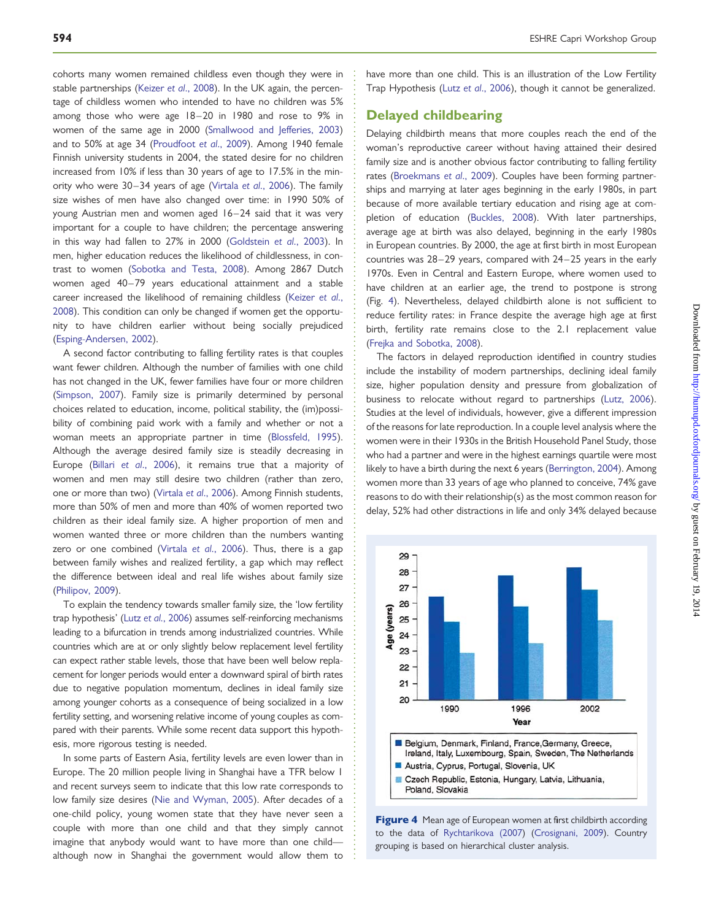cohorts many women remained childless even though they were in stable partnerships (Keizer et al[., 2008](#page-11-0)). In the UK again, the percentage of childless women who intended to have no children was 5% among those who were age 18–20 in 1980 and rose to 9% in women of the same age in 2000 ([Smallwood and Jefferies, 2003\)](#page-12-0) and to 50% at age 34 ([Proudfoot](#page-11-0) et al., 2009). Among 1940 female Finnish university students in 2004, the stated desire for no children increased from 10% if less than 30 years of age to 17.5% in the minority who were 30–34 years of age (Virtala et al[., 2006\)](#page-12-0). The family size wishes of men have also changed over time: in 1990 50% of young Austrian men and women aged 16-24 said that it was very important for a couple to have children; the percentage answering in this way had fallen to 27% in 2000 [\(Goldstein](#page-11-0) et al., 2003). In men, higher education reduces the likelihood of childlessness, in contrast to women [\(Sobotka and Testa, 2008](#page-12-0)). Among 2867 Dutch women aged 40–79 years educational attainment and a stable career increased the likelihood of remaining childless ([Keizer](#page-11-0) et al., [2008](#page-11-0)). This condition can only be changed if women get the opportunity to have children earlier without being socially prejudiced [\(Esping-Andersen, 2002](#page-11-0)).

A second factor contributing to falling fertility rates is that couples want fewer children. Although the number of families with one child has not changed in the UK, fewer families have four or more children [\(Simpson, 2007](#page-12-0)). Family size is primarily determined by personal choices related to education, income, political stability, the (im)possibility of combining paid work with a family and whether or not a woman meets an appropriate partner in time [\(Blossfeld, 1995\)](#page-10-0). Although the average desired family size is steadily decreasing in Europe (Billari et al[., 2006\)](#page-10-0), it remains true that a majority of women and men may still desire two children (rather than zero, one or more than two) (Virtala et al[., 2006\)](#page-12-0). Among Finnish students, more than 50% of men and more than 40% of women reported two children as their ideal family size. A higher proportion of men and women wanted three or more children than the numbers wanting zero or one combined (Virtala et al[., 2006](#page-12-0)). Thus, there is a gap between family wishes and realized fertility, a gap which may reflect the difference between ideal and real life wishes about family size [\(Philipov, 2009\)](#page-11-0).

To explain the tendency towards smaller family size, the 'low fertility trap hypothesis' (Lutz et al[., 2006](#page-11-0)) assumes self-reinforcing mechanisms leading to a bifurcation in trends among industrialized countries. While countries which are at or only slightly below replacement level fertility can expect rather stable levels, those that have been well below replacement for longer periods would enter a downward spiral of birth rates due to negative population momentum, declines in ideal family size among younger cohorts as a consequence of being socialized in a low fertility setting, and worsening relative income of young couples as compared with their parents. While some recent data support this hypothesis, more rigorous testing is needed.

In some parts of Eastern Asia, fertility levels are even lower than in Europe. The 20 million people living in Shanghai have a TFR below 1 and recent surveys seem to indicate that this low rate corresponds to low family size desires ([Nie and Wyman, 2005\)](#page-11-0). After decades of a one-child policy, young women state that they have never seen a couple with more than one child and that they simply cannot imagine that anybody would want to have more than one child although now in Shanghai the government would allow them to have more than one child. This is an illustration of the Low Fertility Trap Hypothesis (Lutz et al[., 2006\)](#page-11-0), though it cannot be generalized.

#### Delayed childbearing

Delaying childbirth means that more couples reach the end of the woman's reproductive career without having attained their desired family size and is another obvious factor contributing to falling fertility rates [\(Broekmans](#page-10-0) et al., 2009). Couples have been forming partnerships and marrying at later ages beginning in the early 1980s, in part because of more available tertiary education and rising age at completion of education ([Buckles, 2008](#page-10-0)). With later partnerships, average age at birth was also delayed, beginning in the early 1980s in European countries. By 2000, the age at first birth in most European countries was 28–29 years, compared with 24–25 years in the early 1970s. Even in Central and Eastern Europe, where women used to have children at an earlier age, the trend to postpone is strong (Fig. 4). Nevertheless, delayed childbirth alone is not sufficient to reduce fertility rates: in France despite the average high age at first birth, fertility rate remains close to the 2.1 replacement value ([Frejka and Sobotka, 2008](#page-11-0)).

The factors in delayed reproduction identified in country studies include the instability of modern partnerships, declining ideal family size, higher population density and pressure from globalization of business to relocate without regard to partnerships ([Lutz, 2006](#page-11-0)). Studies at the level of individuals, however, give a different impression of the reasons for late reproduction. In a couple level analysis where the women were in their 1930s in the British Household Panel Study, those who had a partner and were in the highest earnings quartile were most likely to have a birth during the next 6 years ([Berrington, 2004](#page-10-0)). Among women more than 33 years of age who planned to conceive, 74% gave reasons to do with their relationship(s) as the most common reason for delay, 52% had other distractions in life and only 34% delayed because



Figure 4 Mean age of European women at first childbirth according to the data of [Rychtarikova \(2007\)](#page-12-0) [\(Crosignani, 2009\)](#page-10-0). Country grouping is based on hierarchical cluster analysis.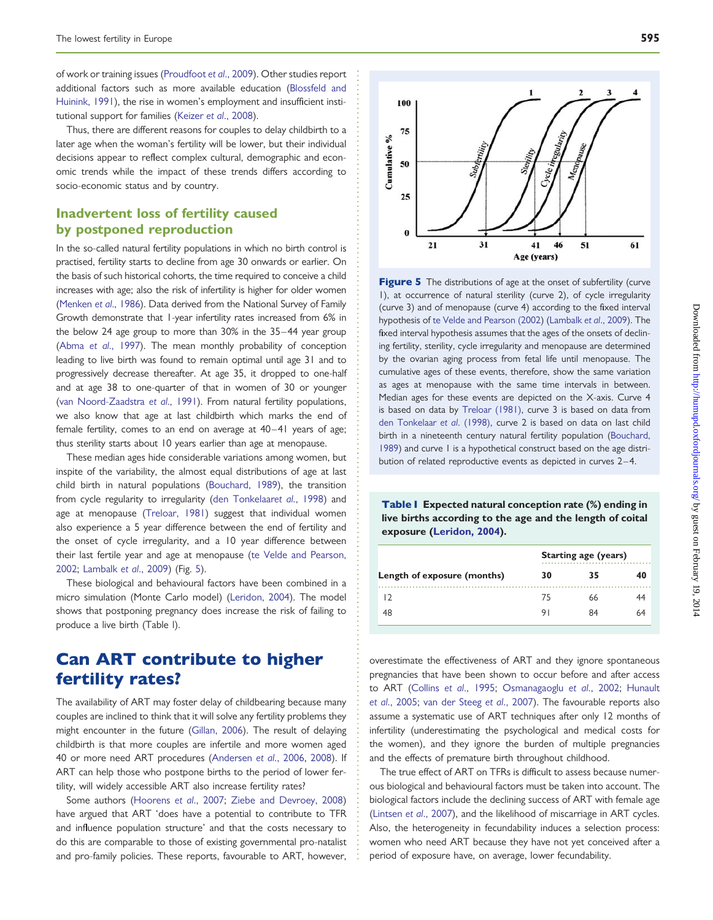of work or training issues ([Proudfoot](#page-11-0) et al., 2009). Other studies report additional factors such as more available education [\(Blossfeld and](#page-10-0) [Huinink, 1991](#page-10-0)), the rise in women's employment and insufficient institutional support for families (Keizer et al[., 2008](#page-11-0)).

Thus, there are different reasons for couples to delay childbirth to a later age when the woman's fertility will be lower, but their individual decisions appear to reflect complex cultural, demographic and economic trends while the impact of these trends differs according to socio-economic status and by country.

#### Inadvertent loss of fertility caused by postponed reproduction

In the so-called natural fertility populations in which no birth control is practised, fertility starts to decline from age 30 onwards or earlier. On the basis of such historical cohorts, the time required to conceive a child increases with age; also the risk of infertility is higher for older women [\(Menken](#page-11-0) et al., 1986). Data derived from the National Survey of Family Growth demonstrate that 1-year infertility rates increased from 6% in the below 24 age group to more than 30% in the 35–44 year group (Abma et al[., 1997](#page-10-0)). The mean monthly probability of conception leading to live birth was found to remain optimal until age 31 and to progressively decrease thereafter. At age 35, it dropped to one-half and at age 38 to one-quarter of that in women of 30 or younger [\(van Noord-Zaadstra](#page-12-0) et al., 1991). From natural fertility populations, we also know that age at last childbirth which marks the end of female fertility, comes to an end on average at 40–41 years of age; thus sterility starts about 10 years earlier than age at menopause.

These median ages hide considerable variations among women, but inspite of the variability, the almost equal distributions of age at last child birth in natural populations [\(Bouchard, 1989](#page-10-0)), the transition from cycle regularity to irregularity [\(den Tonkelaar](#page-10-0)et al., 1998) and age at menopause [\(Treloar, 1981](#page-12-0)) suggest that individual women also experience a 5 year difference between the end of fertility and the onset of cycle irregularity, and a 10 year difference between their last fertile year and age at menopause ([te Velde and Pearson,](#page-12-0) [2002](#page-12-0); [Lambalk](#page-11-0) et al., 2009) (Fig. 5).

These biological and behavioural factors have been combined in a micro simulation (Monte Carlo model) ([Leridon, 2004\)](#page-11-0). The model shows that postponing pregnancy does increase the risk of failing to produce a live birth (Table I).

### Can ART contribute to higher fertility rates?

The availability of ART may foster delay of childbearing because many couples are inclined to think that it will solve any fertility problems they might encounter in the future ([Gillan, 2006\)](#page-11-0). The result of delaying childbirth is that more couples are infertile and more women aged 40 or more need ART procedures [\(Andersen](#page-10-0) et al., 2006, [2008\)](#page-10-0). If ART can help those who postpone births to the period of lower fertility, will widely accessible ART also increase fertility rates?

Some authors ([Hoorens](#page-11-0) et al., 2007; [Ziebe and Devroey, 2008\)](#page-12-0) have argued that ART 'does have a potential to contribute to TFR and influence population structure' and that the costs necessary to do this are comparable to those of existing governmental pro-natalist and pro-family policies. These reports, favourable to ART, however,

**Figure 5** The distributions of age at the onset of subfertility (curve 1), at occurrence of natural sterility (curve 2), of cycle irregularity (curve 3) and of menopause (curve 4) according to the fixed interval hypothesis of [te Velde and Pearson \(2002\)](#page-12-0) [\(Lambalk](#page-11-0) et al., 2009). The fixed interval hypothesis assumes that the ages of the onsets of declining fertility, sterility, cycle irregularity and menopause are determined by the ovarian aging process from fetal life until menopause. The cumulative ages of these events, therefore, show the same variation as ages at menopause with the same time intervals in between. Median ages for these events are depicted on the X-axis. Curve 4 is based on data by [Treloar \(1981\),](#page-12-0) curve 3 is based on data from [den Tonkelaar](#page-10-0) et al. (1998), curve 2 is based on data on last child birth in a nineteenth century natural fertility population ([Bouchard,](#page-10-0) [1989](#page-10-0)) and curve 1 is a hypothetical construct based on the age distribution of related reproductive events as depicted in curves 2-4.

Table I Expected natural conception rate (%) ending in live births according to the age and the length of coital exposure [\(Leridon, 2004\)](#page-11-0).

|                             | <b>Starting age (years)</b> |    |    |
|-----------------------------|-----------------------------|----|----|
| Length of exposure (months) | 30                          | 35 |    |
|                             | 75                          | 66 |    |
| 48                          | 9.                          | 84 | 64 |

overestimate the effectiveness of ART and they ignore spontaneous pregnancies that have been shown to occur before and after access to ART (Collins et al[., 1995](#page-10-0); [Osmanagaoglu](#page-11-0) et al., 2002; [Hunault](#page-11-0) et al[., 2005;](#page-11-0) [van der Steeg](#page-12-0) et al., 2007). The favourable reports also assume a systematic use of ART techniques after only 12 months of infertility (underestimating the psychological and medical costs for the women), and they ignore the burden of multiple pregnancies and the effects of premature birth throughout childhood.

The true effect of ART on TFRs is difficult to assess because numerous biological and behavioural factors must be taken into account. The biological factors include the declining success of ART with female age [\(Lintsen](#page-11-0) et al., 2007), and the likelihood of miscarriage in ART cycles. Also, the heterogeneity in fecundability induces a selection process: women who need ART because they have not yet conceived after a period of exposure have, on average, lower fecundability.

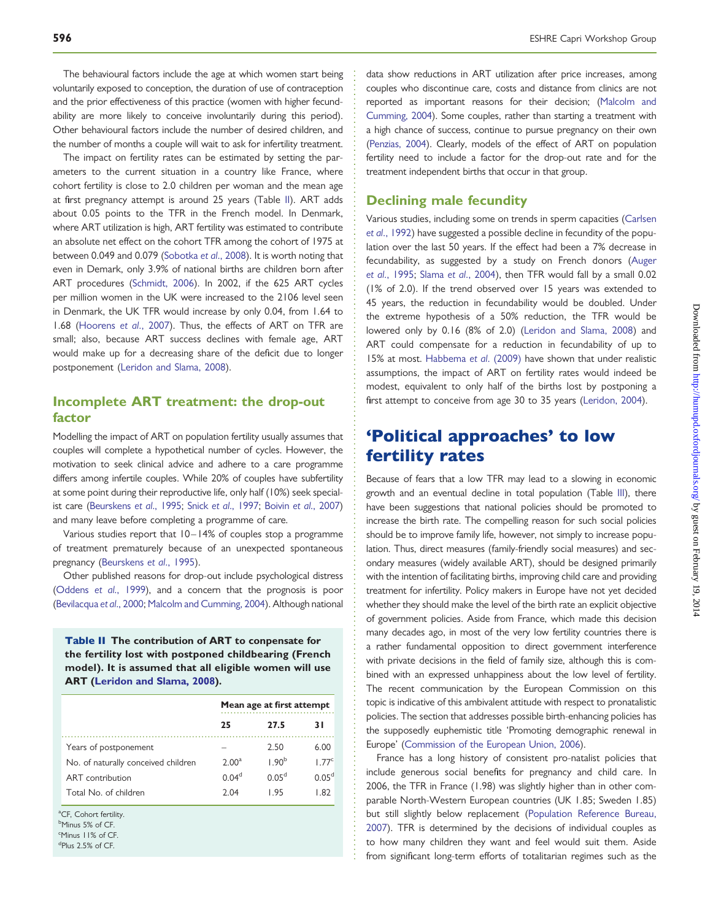The behavioural factors include the age at which women start being voluntarily exposed to conception, the duration of use of contraception and the prior effectiveness of this practice (women with higher fecundability are more likely to conceive involuntarily during this period). Other behavioural factors include the number of desired children, and the number of months a couple will wait to ask for infertility treatment.

The impact on fertility rates can be estimated by setting the parameters to the current situation in a country like France, where cohort fertility is close to 2.0 children per woman and the mean age at first pregnancy attempt is around 25 years (Table II). ART adds about 0.05 points to the TFR in the French model. In Denmark, where ART utilization is high, ART fertility was estimated to contribute an absolute net effect on the cohort TFR among the cohort of 1975 at between 0.049 and 0.079 [\(Sobotka](#page-12-0) et al., 2008). It is worth noting that even in Demark, only 3.9% of national births are children born after ART procedures ([Schmidt, 2006\)](#page-12-0). In 2002, if the 625 ART cycles per million women in the UK were increased to the 2106 level seen in Denmark, the UK TFR would increase by only 0.04, from 1.64 to 1.68 ([Hoorens](#page-11-0) et al., 2007). Thus, the effects of ART on TFR are small; also, because ART success declines with female age, ART would make up for a decreasing share of the deficit due to longer postponement ([Leridon and Slama, 2008\)](#page-11-0).

### Incomplete ART treatment: the drop-out factor

Modelling the impact of ART on population fertility usually assumes that couples will complete a hypothetical number of cycles. However, the motivation to seek clinical advice and adhere to a care programme differs among infertile couples. While 20% of couples have subfertility at some point during their reproductive life, only half (10%) seek special-ist care [\(Beurskens](#page-10-0) et al., 1995; Snick et al[., 1997](#page-12-0); Boivin et al[., 2007\)](#page-10-0). and many leave before completing a programme of care.

Various studies report that 10– 14% of couples stop a programme of treatment prematurely because of an unexpected spontaneous pregnancy [\(Beurskens](#page-10-0) et al., 1995).

Other published reasons for drop-out include psychological distress [\(Oddens](#page-11-0) et al., 1999), and a concern that the prognosis is poor [\(Bevilacqua](#page-10-0) et al., 2000; [Malcolm and Cumming, 2004\)](#page-11-0). Although national

Table II The contribution of ART to conpensate for the fertility lost with postponed childbearing (French model). It is assumed that all eligible women will use ART [\(Leridon and Slama, 2008\)](#page-11-0).

|                                     | Mean age at first attempt |                   |                   |
|-------------------------------------|---------------------------|-------------------|-------------------|
|                                     | 25                        | 27.5              | 31                |
| Years of postponement               |                           | 2.50              | 6.00              |
| No. of naturally conceived children | 2.00 <sup>a</sup>         | 1.90 <sup>b</sup> | 1.77 <sup>c</sup> |
| ART contribution                    | 0.04 <sup>d</sup>         | 0.05 <sup>d</sup> | 0.05 <sup>d</sup> |
| Total No. of children               | 2.04                      | I 95              | 1 R 2             |

<sup>a</sup>CF, Cohort fertility.

<sup>b</sup>Minus 5% of CF. c Minus 11% of CF.

d Plus 2.5% of CF.

data show reductions in ART utilization after price increases, among couples who discontinue care, costs and distance from clinics are not reported as important reasons for their decision; ([Malcolm and](#page-11-0) [Cumming, 2004](#page-11-0)). Some couples, rather than starting a treatment with a high chance of success, continue to pursue pregnancy on their own [\(Penzias, 2004](#page-11-0)). Clearly, models of the effect of ART on population fertility need to include a factor for the drop-out rate and for the treatment independent births that occur in that group.

#### Declining male fecundity

Various studies, including some on trends in sperm capacities ([Carlsen](#page-10-0) et al[., 1992\)](#page-10-0) have suggested a possible decline in fecundity of the population over the last 50 years. If the effect had been a 7% decrease in fecundability, as suggested by a study on French donors [\(Auger](#page-10-0) et al[., 1995;](#page-10-0) Slama et al[., 2004\)](#page-12-0), then TFR would fall by a small 0.02 (1% of 2.0). If the trend observed over 15 years was extended to 45 years, the reduction in fecundability would be doubled. Under the extreme hypothesis of a 50% reduction, the TFR would be lowered only by 0.16 (8% of 2.0) [\(Leridon and Slama, 2008](#page-11-0)) and ART could compensate for a reduction in fecundability of up to 15% at most. [Habbema](#page-11-0) et al. (2009) have shown that under realistic assumptions, the impact of ART on fertility rates would indeed be modest, equivalent to only half of the births lost by postponing a first attempt to conceive from age 30 to 35 years [\(Leridon, 2004\)](#page-11-0).

### 'Political approaches' to low fertility rates

Because of fears that a low TFR may lead to a slowing in economic growth and an eventual decline in total population (Table [III\)](#page-7-0), there have been suggestions that national policies should be promoted to increase the birth rate. The compelling reason for such social policies should be to improve family life, however, not simply to increase population. Thus, direct measures (family-friendly social measures) and secondary measures (widely available ART), should be designed primarily with the intention of facilitating births, improving child care and providing treatment for infertility. Policy makers in Europe have not yet decided whether they should make the level of the birth rate an explicit objective of government policies. Aside from France, which made this decision many decades ago, in most of the very low fertility countries there is a rather fundamental opposition to direct government interference with private decisions in the field of family size, although this is combined with an expressed unhappiness about the low level of fertility. The recent communication by the European Commission on this topic is indicative of this ambivalent attitude with respect to pronatalistic policies. The section that addresses possible birth-enhancing policies has the supposedly euphemistic title 'Promoting demographic renewal in Europe' ([Commission of the European Union, 2006\)](#page-10-0).

France has a long history of consistent pro-natalist policies that include generous social benefits for pregnancy and child care. In 2006, the TFR in France (1.98) was slightly higher than in other comparable North-Western European countries (UK 1.85; Sweden 1.85) but still slightly below replacement ([Population Reference Bureau,](#page-11-0) [2007\)](#page-11-0). TFR is determined by the decisions of individual couples as to how many children they want and feel would suit them. Aside from significant long-term efforts of totalitarian regimes such as the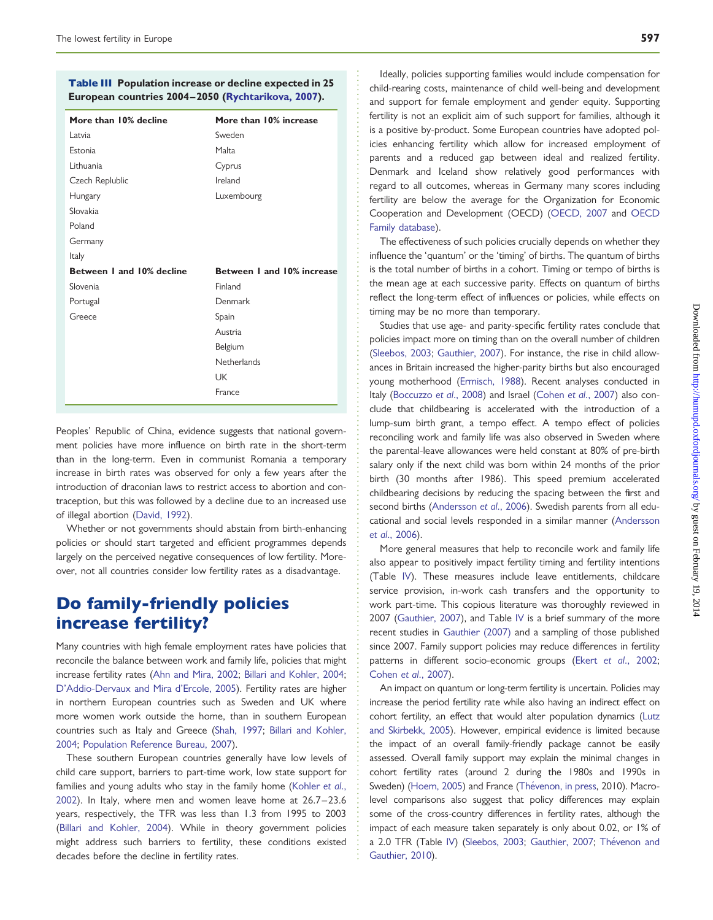#### <span id="page-7-0"></span>Table III Population increase or decline expected in 25 European countries 2004–2050 [\(Rychtarikova, 2007](#page-12-0)).

| More than 10% decline     | More than 10% increase     |
|---------------------------|----------------------------|
| Latvia                    | Sweden                     |
| Estonia                   | Malta                      |
| Lithuania                 | Cyprus                     |
| Czech Replublic           | Ireland                    |
| Hungary                   | Luxembourg                 |
| Slovakia                  |                            |
| Poland                    |                            |
| Germany                   |                            |
| Italy                     |                            |
| Between I and 10% decline | Between I and 10% increase |
| Slovenia                  | Finland                    |
| Portugal                  | Denmark                    |
| Greece                    | Spain                      |
|                           | Austria                    |
|                           | Belgium                    |
|                           | Netherlands                |
|                           | UK                         |
|                           | France                     |

Peoples' Republic of China, evidence suggests that national government policies have more influence on birth rate in the short-term than in the long-term. Even in communist Romania a temporary increase in birth rates was observed for only a few years after the introduction of draconian laws to restrict access to abortion and contraception, but this was followed by a decline due to an increased use of illegal abortion ([David, 1992](#page-10-0)).

Whether or not governments should abstain from birth-enhancing policies or should start targeted and efficient programmes depends largely on the perceived negative consequences of low fertility. Moreover, not all countries consider low fertility rates as a disadvantage.

### Do family-friendly policies increase fertility?

Many countries with high female employment rates have policies that reconcile the balance between work and family life, policies that might increase fertility rates [\(Ahn and Mira, 2002;](#page-10-0) [Billari and Kohler, 2004](#page-10-0); [D'Addio-Dervaux and Mira d'Ercole, 2005\)](#page-10-0). Fertility rates are higher in northern European countries such as Sweden and UK where more women work outside the home, than in southern European countries such as Italy and Greece ([Shah, 1997;](#page-12-0) [Billari and Kohler,](#page-10-0) [2004](#page-10-0); [Population Reference Bureau, 2007](#page-11-0)).

These southern European countries generally have low levels of child care support, barriers to part-time work, low state support for families and young adults who stay in the family home ([Kohler](#page-11-0) et al., [2002](#page-11-0)). In Italy, where men and women leave home at 26.7 –23.6 years, respectively, the TFR was less than 1.3 from 1995 to 2003 [\(Billari and Kohler, 2004](#page-10-0)). While in theory government policies might address such barriers to fertility, these conditions existed decades before the decline in fertility rates.

Ideally, policies supporting families would include compensation for child-rearing costs, maintenance of child well-being and development and support for female employment and gender equity. Supporting fertility is not an explicit aim of such support for families, although it is a positive by-product. Some European countries have adopted policies enhancing fertility which allow for increased employment of parents and a reduced gap between ideal and realized fertility. Denmark and Iceland show relatively good performances with regard to all outcomes, whereas in Germany many scores including fertility are below the average for the Organization for Economic Cooperation and Development (OECD) [\(OECD, 2007](#page-11-0) and [OECD](#page-11-0) [Family database](#page-11-0)).

The effectiveness of such policies crucially depends on whether they influence the 'quantum' or the 'timing' of births. The quantum of births is the total number of births in a cohort. Timing or tempo of births is the mean age at each successive parity. Effects on quantum of births reflect the long-term effect of influences or policies, while effects on timing may be no more than temporary.

Studies that use age- and parity-specific fertility rates conclude that policies impact more on timing than on the overall number of children [\(Sleebos, 2003;](#page-12-0) [Gauthier, 2007](#page-11-0)). For instance, the rise in child allowances in Britain increased the higher-parity births but also encouraged young motherhood [\(Ermisch, 1988](#page-11-0)). Recent analyses conducted in Italy ([Boccuzzo](#page-10-0) et al., 2008) and Israel (Cohen et al[., 2007](#page-10-0)) also conclude that childbearing is accelerated with the introduction of a lump-sum birth grant, a tempo effect. A tempo effect of policies reconciling work and family life was also observed in Sweden where the parental-leave allowances were held constant at 80% of pre-birth salary only if the next child was born within 24 months of the prior birth (30 months after 1986). This speed premium accelerated childbearing decisions by reducing the spacing between the first and second births [\(Andersson](#page-10-0) et al., 2006). Swedish parents from all educational and social levels responded in a similar manner [\(Andersson](#page-10-0) et al[., 2006](#page-10-0)).

More general measures that help to reconcile work and family life also appear to positively impact fertility timing and fertility intentions (Table [IV](#page-8-0)). These measures include leave entitlements, childcare service provision, in-work cash transfers and the opportunity to work part-time. This copious literature was thoroughly reviewed in 2007 [\(Gauthier, 2007\)](#page-11-0), and Table [IV](#page-8-0) is a brief summary of the more recent studies in [Gauthier \(2007\)](#page-11-0) and a sampling of those published since 2007. Family support policies may reduce differences in fertility patterns in different socio-economic groups (Ekert et al[., 2002;](#page-10-0) Cohen et al[., 2007](#page-10-0)).

An impact on quantum or long-term fertility is uncertain. Policies may increase the period fertility rate while also having an indirect effect on cohort fertility, an effect that would alter population dynamics [\(Lutz](#page-11-0) [and Skirbekk, 2005\)](#page-11-0). However, empirical evidence is limited because the impact of an overall family-friendly package cannot be easily assessed. Overall family support may explain the minimal changes in cohort fertility rates (around 2 during the 1980s and 1990s in Sweden) [\(Hoem, 2005](#page-11-0)) and France (Thévenon, in press, 2010). Macrolevel comparisons also suggest that policy differences may explain some of the cross-country differences in fertility rates, although the impact of each measure taken separately is only about 0.02, or 1% of a 2.0 TFR (Table [IV\)](#page-8-0) [\(Sleebos, 2003](#page-12-0); [Gauthier, 2007;](#page-11-0) Thévenon and [Gauthier, 2010\)](#page-12-0).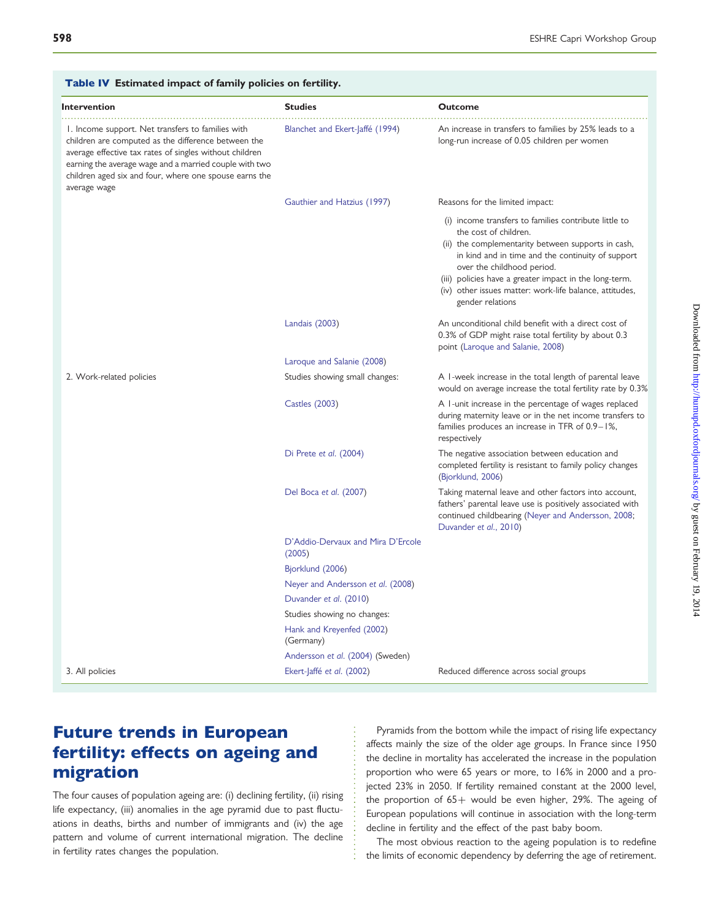| <b>Intervention</b>                                                                                                                                                                                                                                                                                     | <b>Studies</b>                              | <b>Outcome</b>                                                                                                                                                                                                                                                                                                                                                   |
|---------------------------------------------------------------------------------------------------------------------------------------------------------------------------------------------------------------------------------------------------------------------------------------------------------|---------------------------------------------|------------------------------------------------------------------------------------------------------------------------------------------------------------------------------------------------------------------------------------------------------------------------------------------------------------------------------------------------------------------|
| 1. Income support. Net transfers to families with<br>children are computed as the difference between the<br>average effective tax rates of singles without children<br>earning the average wage and a married couple with two<br>children aged six and four, where one spouse earns the<br>average wage | Blanchet and Ekert-Jaffé (1994)             | An increase in transfers to families by 25% leads to a<br>long-run increase of 0.05 children per women                                                                                                                                                                                                                                                           |
|                                                                                                                                                                                                                                                                                                         | Gauthier and Hatzius (1997)                 | Reasons for the limited impact:                                                                                                                                                                                                                                                                                                                                  |
|                                                                                                                                                                                                                                                                                                         |                                             | (i) income transfers to families contribute little to<br>the cost of children.<br>(ii) the complementarity between supports in cash,<br>in kind and in time and the continuity of support<br>over the childhood period.<br>(iii) policies have a greater impact in the long-term.<br>(iv) other issues matter: work-life balance, attitudes,<br>gender relations |
|                                                                                                                                                                                                                                                                                                         | Landais (2003)                              | An unconditional child benefit with a direct cost of<br>0.3% of GDP might raise total fertility by about 0.3<br>point (Laroque and Salanie, 2008)                                                                                                                                                                                                                |
|                                                                                                                                                                                                                                                                                                         | Laroque and Salanie (2008)                  |                                                                                                                                                                                                                                                                                                                                                                  |
| 2. Work-related policies                                                                                                                                                                                                                                                                                | Studies showing small changes:              | A I-week increase in the total length of parental leave<br>would on average increase the total fertility rate by 0.3%                                                                                                                                                                                                                                            |
|                                                                                                                                                                                                                                                                                                         | <b>Castles (2003)</b>                       | A I-unit increase in the percentage of wages replaced<br>during maternity leave or in the net income transfers to<br>families produces an increase in TFR of 0.9–1%,<br>respectively                                                                                                                                                                             |
|                                                                                                                                                                                                                                                                                                         | Di Prete et al. (2004)                      | The negative association between education and<br>completed fertility is resistant to family policy changes<br>(Bjorklund, 2006)                                                                                                                                                                                                                                 |
|                                                                                                                                                                                                                                                                                                         | Del Boca et al. (2007)                      | Taking maternal leave and other factors into account,<br>fathers' parental leave use is positively associated with<br>continued childbearing (Neyer and Andersson, 2008;<br>Duvander et al., 2010)                                                                                                                                                               |
|                                                                                                                                                                                                                                                                                                         | D'Addio-Dervaux and Mira D'Ercole<br>(2005) |                                                                                                                                                                                                                                                                                                                                                                  |
|                                                                                                                                                                                                                                                                                                         | Bjorklund (2006)                            |                                                                                                                                                                                                                                                                                                                                                                  |
|                                                                                                                                                                                                                                                                                                         | Neyer and Andersson et al. (2008)           |                                                                                                                                                                                                                                                                                                                                                                  |
|                                                                                                                                                                                                                                                                                                         | Duvander et al. (2010)                      |                                                                                                                                                                                                                                                                                                                                                                  |
|                                                                                                                                                                                                                                                                                                         | Studies showing no changes:                 |                                                                                                                                                                                                                                                                                                                                                                  |
|                                                                                                                                                                                                                                                                                                         | Hank and Kreyenfed (2002)<br>(Germany)      |                                                                                                                                                                                                                                                                                                                                                                  |
|                                                                                                                                                                                                                                                                                                         | Andersson et al. (2004) (Sweden)            |                                                                                                                                                                                                                                                                                                                                                                  |
| 3. All policies                                                                                                                                                                                                                                                                                         | Ekert-Jaffé et al. (2002)                   | Reduced difference across social groups                                                                                                                                                                                                                                                                                                                          |

#### <span id="page-8-0"></span>Table IV Estimated impact of family policies on fertility.

# Future trends in European fertility: effects on ageing and migration

The four causes of population ageing are: (i) declining fertility, (ii) rising life expectancy, (iii) anomalies in the age pyramid due to past fluctuations in deaths, births and number of immigrants and (iv) the age pattern and volume of current international migration. The decline in fertility rates changes the population.

Pyramids from the bottom while the impact of rising life expectancy affects mainly the size of the older age groups. In France since 1950 the decline in mortality has accelerated the increase in the population proportion who were 65 years or more, to 16% in 2000 and a projected 23% in 2050. If fertility remained constant at the 2000 level, the proportion of  $65+$  would be even higher, 29%. The ageing of European populations will continue in association with the long-term decline in fertility and the effect of the past baby boom.

The most obvious reaction to the ageing population is to redefine the limits of economic dependency by deferring the age of retirement.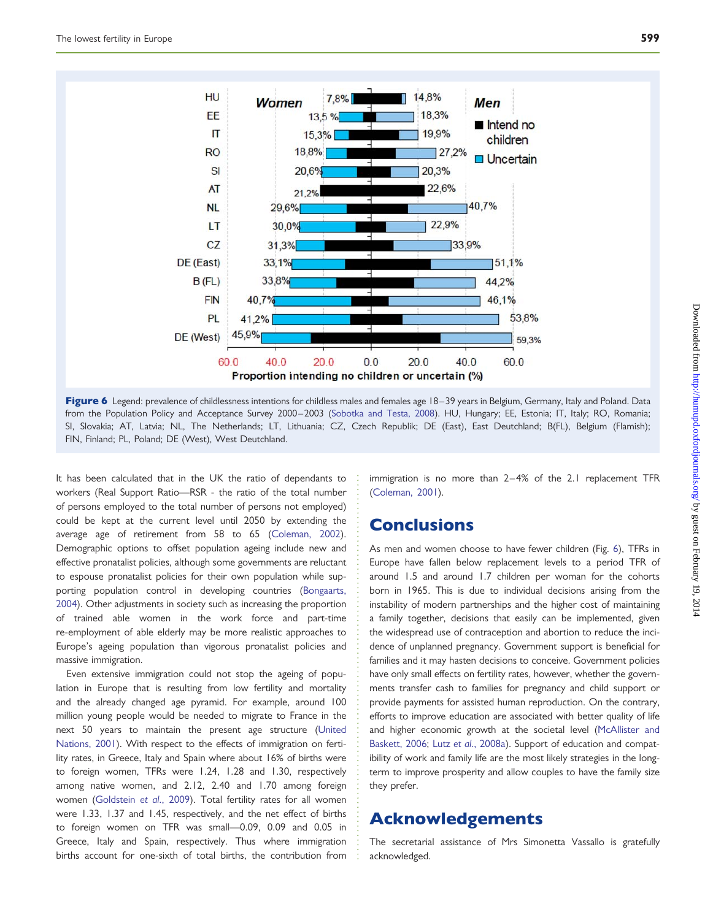

Figure 6 Legend: prevalence of childlessness intentions for childless males and females age 18-39 years in Belgium, Germany, Italy and Poland. Data from the Population Policy and Acceptance Survey 2000-2003 ([Sobotka and Testa, 2008](#page-12-0)). HU, Hungary; EE, Estonia; IT, Italy; RO, Romania; SI, Slovakia; AT, Latvia; NL, The Netherlands; LT, Lithuania; CZ, Czech Republik; DE (East), East Deutchland; B(FL), Belgium (Flamish); FIN, Finland; PL, Poland; DE (West), West Deutchland.

It has been calculated that in the UK the ratio of dependants to workers (Real Support Ratio—RSR - the ratio of the total number of persons employed to the total number of persons not employed) could be kept at the current level until 2050 by extending the average age of retirement from 58 to 65 [\(Coleman, 2002\)](#page-10-0). Demographic options to offset population ageing include new and effective pronatalist policies, although some governments are reluctant to espouse pronatalist policies for their own population while supporting population control in developing countries [\(Bongaarts,](#page-10-0) [2004](#page-10-0)). Other adjustments in society such as increasing the proportion of trained able women in the work force and part-time re-employment of able elderly may be more realistic approaches to Europe's ageing population than vigorous pronatalist policies and massive immigration.

Even extensive immigration could not stop the ageing of population in Europe that is resulting from low fertility and mortality and the already changed age pyramid. For example, around 100 million young people would be needed to migrate to France in the next 50 years to maintain the present age structure [\(United](#page-12-0) [Nations, 2001\)](#page-12-0). With respect to the effects of immigration on fertility rates, in Greece, Italy and Spain where about 16% of births were to foreign women, TFRs were 1.24, 1.28 and 1.30, respectively among native women, and 2.12, 2.40 and 1.70 among foreign women [\(Goldstein](#page-11-0) et al., 2009). Total fertility rates for all women were 1.33, 1.37 and 1.45, respectively, and the net effect of births to foreign women on TFR was small—0.09, 0.09 and 0.05 in Greece, Italy and Spain, respectively. Thus where immigration births account for one-sixth of total births, the contribution from

immigration is no more than 2–4% of the 2.1 replacement TFR [\(Coleman, 2001](#page-10-0)).

### **Conclusions**

As men and women choose to have fewer children (Fig. 6), TFRs in Europe have fallen below replacement levels to a period TFR of around 1.5 and around 1.7 children per woman for the cohorts born in 1965. This is due to individual decisions arising from the instability of modern partnerships and the higher cost of maintaining a family together, decisions that easily can be implemented, given the widespread use of contraception and abortion to reduce the incidence of unplanned pregnancy. Government support is beneficial for families and it may hasten decisions to conceive. Government policies have only small effects on fertility rates, however, whether the governments transfer cash to families for pregnancy and child support or provide payments for assisted human reproduction. On the contrary, efforts to improve education are associated with better quality of life and higher economic growth at the societal level ([McAllister and](#page-11-0) [Baskett, 2006;](#page-11-0) Lutz et al[., 2008a](#page-11-0)). Support of education and compatibility of work and family life are the most likely strategies in the longterm to improve prosperity and allow couples to have the family size they prefer.

### Acknowledgements

The secretarial assistance of Mrs Simonetta Vassallo is gratefully acknowledged.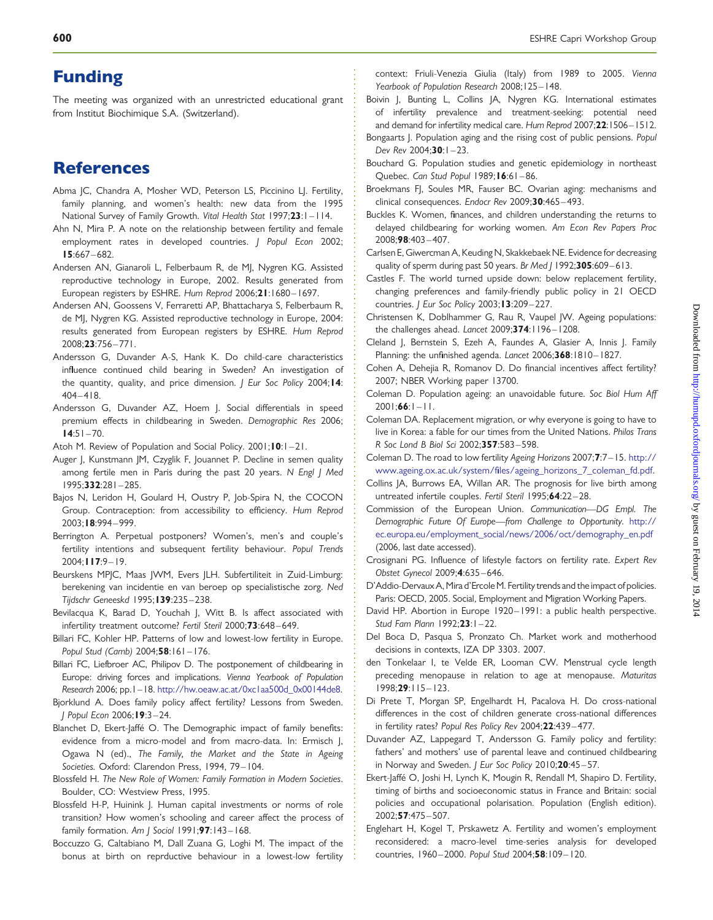### <span id="page-10-0"></span>Funding

The meeting was organized with an unrestricted educational grant from Institut Biochimique S.A. (Switzerland).

# References

- Abma IC, Chandra A, Mosher WD, Peterson LS, Piccinino LI, Fertility, family planning, and women's health: new data from the 1995 National Survey of Family Growth. Vital Health Stat 1997;23:1-114.
- Ahn N, Mira P. A note on the relationship between fertility and female employment rates in developed countries. J Popul Econ 2002; 15:667 – 682.
- Andersen AN, Gianaroli L, Felberbaum R, de MJ, Nygren KG. Assisted reproductive technology in Europe, 2002. Results generated from European registers by ESHRE. Hum Reprod 2006;21:1680-1697.
- Andersen AN, Goossens V, Ferraretti AP, Bhattacharya S, Felberbaum R, de MJ, Nygren KG. Assisted reproductive technology in Europe, 2004: results generated from European registers by ESHRE. Hum Reprod 2008;23:756 – 771.
- Andersson G, Duvander A-S, Hank K. Do child-care characteristics influence continued child bearing in Sweden? An investigation of the quantity, quality, and price dimension. J Eur Soc Policy 2004; 14:  $404 - 418$ .
- Andersson G, Duvander AZ, Hoem J. Social differentials in speed premium effects in childbearing in Sweden. Demographic Res 2006;  $14:51 - 70.$
- Atoh M. Review of Population and Social Policy. 2001;10:1-21.
- Auger J, Kunstmann JM, Czyglik F, Jouannet P. Decline in semen quality among fertile men in Paris during the past 20 years. N Engl | Med 1995;332:281 – 285.
- Bajos N, Leridon H, Goulard H, Oustry P, Job-Spira N, the COCON Group. Contraception: from accessibility to efficiency. Hum Reprod 2003;18:994 – 999.
- Berrington A. Perpetual postponers? Women's, men's and couple's fertility intentions and subsequent fertility behaviour. Popul Trends 2004;117:9 – 19.
- Beurskens MPJC, Maas JWM, Evers JLH. Subfertiliteit in Zuid-Limburg: berekening van incidentie en van beroep op specialistische zorg. Ned Tijdschr Geneeskd 1995;139:235-238.
- Bevilacqua K, Barad D, Youchah J, Witt B. Is affect associated with infertility treatment outcome? Fertil Steril 2000;73:648-649.
- Billari FC, Kohler HP. Patterns of low and lowest-low fertility in Europe. Popul Stud (Camb) 2004;58:161-176.
- Billari FC, Liefbroer AC, Philipov D. The postponement of childbearing in Europe: driving forces and implications. Vienna Yearbook of Population Research 2006; pp.1–18. [http://hw.oeaw.ac.at/0xc1aa500d\\_0x00144de8](http://hw.oeaw.ac.at/0xc1aa500d_0x00144de8).
- Bjorklund A. Does family policy affect fertility? Lessons from Sweden. J Popul Econ 2006;19:3 – 24.
- Blanchet D, Ekert-Jaffé O. The Demographic impact of family benefits: evidence from a micro-model and from macro-data. In: Ermisch J, Ogawa N (ed)., The Family, the Market and the State in Ageing Societies. Oxford: Clarendon Press, 1994, 79-104.
- Blossfeld H. The New Role of Women: Family Formation in Modern Societies. Boulder, CO: Westview Press, 1995.
- Blossfeld H-P, Huinink J. Human capital investments or norms of role transition? How women's schooling and career affect the process of family formation. Am J Sociol  $1991;$ 97:143-168.
- Boccuzzo G, Caltabiano M, Dall Zuana G, Loghi M. The impact of the bonus at birth on reprductive behaviour in a lowest-low fertility

context: Friuli-Venezia Giulia (Italy) from 1989 to 2005. Vienna Yearbook of Population Research 2008;125-148.

- Boivin J, Bunting L, Collins JA, Nygren KG. International estimates of infertility prevalence and treatment-seeking: potential need and demand for infertility medical care. Hum Reprod 2007;22:1506–1512.
- Bongaarts J. Population aging and the rising cost of public pensions. Popul Dev Rev 2004:30:1-23.
- Bouchard G. Population studies and genetic epidemiology in northeast Quebec. Can Stud Popul 1989; 16:61-86.
- Broekmans FJ, Soules MR, Fauser BC. Ovarian aging: mechanisms and clinical consequences. Endocr Rev 2009;30:465-493.
- Buckles K. Women, finances, and children understanding the returns to delayed childbearing for working women. Am Econ Rev Papers Proc 2008;98:403 – 407.
- Carlsen E, Giwercman A, Keuding N, Skakkebaek NE. Evidence for decreasing quality of sperm during past 50 years. Br Med J 1992;305:609-613.
- Castles F. The world turned upside down: below replacement fertility, changing preferences and family-friendly public policy in 21 OECD countries. J Eur Soc Policy 2003;13:209-227.
- Christensen K, Doblhammer G, Rau R, Vaupel JW. Ageing populations: the challenges ahead. Lancet 2009;374:1196-1208.
- Cleland J, Bernstein S, Ezeh A, Faundes A, Glasier A, Innis J. Family Planning: the unfinished agenda. Lancet 2006;368:1810-1827.
- Cohen A, Dehejia R, Romanov D. Do financial incentives affect fertility? 2007; NBER Working paper 13700.
- Coleman D. Population ageing: an unavoidable future. Soc Biol Hum Aff  $200$ |;**66**: $|-|$ ].
- Coleman DA. Replacement migration, or why everyone is going to have to live in Korea: a fable for our times from the United Nations. Philos Trans R Soc Lond B Biol Sci 2002;357:583 – 598.
- Coleman D. The road to low fertility Ageing Horizons 2007;7:7 –15. [http://](http://www.ageing.ox.ac.uk/system/files/ageing_horizons_7_coleman_fd.pdf) [www.ageing.ox.ac.uk/system/files/ageing\\_horizons\\_7\\_coleman\\_fd.pdf.](http://www.ageing.ox.ac.uk/system/files/ageing_horizons_7_coleman_fd.pdf)
- Collins JA, Burrows EA, Willan AR. The prognosis for live birth among untreated infertile couples. Fertil Steril 1995;64:22 – 28.
- Commission of the European Union. Communication—DG Empl. The Demographic Future Of Europe—from Challenge to Opportunity. [http://](http://ec.europa.eu/employment_social/news/2006/oct/demography_en.pdf) [ec.europa.eu/employment\\_social/news/2006/oct/demography\\_en.pdf](http://ec.europa.eu/employment_social/news/2006/oct/demography_en.pdf) (2006, last date accessed).
- Crosignani PG. Influence of lifestyle factors on fertility rate. Expert Rev Obstet Gynecol 2009;4:635– 646.
- D'Addio-Dervaux A, Mira d'ErcoleM. Fertility trends and the impact of policies. Paris: OECD, 2005. Social, Employment and Migration Working Papers.
- David HP. Abortion in Europe 1920– 1991: a public health perspective. Stud Fam Plann 1992;23:1-22.
- Del Boca D, Pasqua S, Pronzato Ch. Market work and motherhood decisions in contexts, IZA DP 3303. 2007.
- den Tonkelaar I, te Velde ER, Looman CW. Menstrual cycle length preceding menopause in relation to age at menopause. Maturitas 1998;29:115 – 123.
- Di Prete T, Morgan SP, Engelhardt H, Pacalova H. Do cross-national differences in the cost of children generate cross-national differences in fertility rates? Popul Res Policy Rev 2004;22:439 – 477.
- Duvander AZ, Lappegard T, Andersson G. Family policy and fertility: fathers' and mothers' use of parental leave and continued childbearing in Norway and Sweden. J Eur Soc Policy 2010;20:45-57.
- Ekert-Jaffé O, Joshi H, Lynch K, Mougin R, Rendall M, Shapiro D. Fertility, timing of births and socioeconomic status in France and Britain: social policies and occupational polarisation. Population (English edition). 2002;57:475 – 507.
- Englehart H, Kogel T, Prskawetz A. Fertility and women's employment reconsidered: a macro-level time-series analysis for developed countries, 1960-2000. Popul Stud 2004;58:109-120.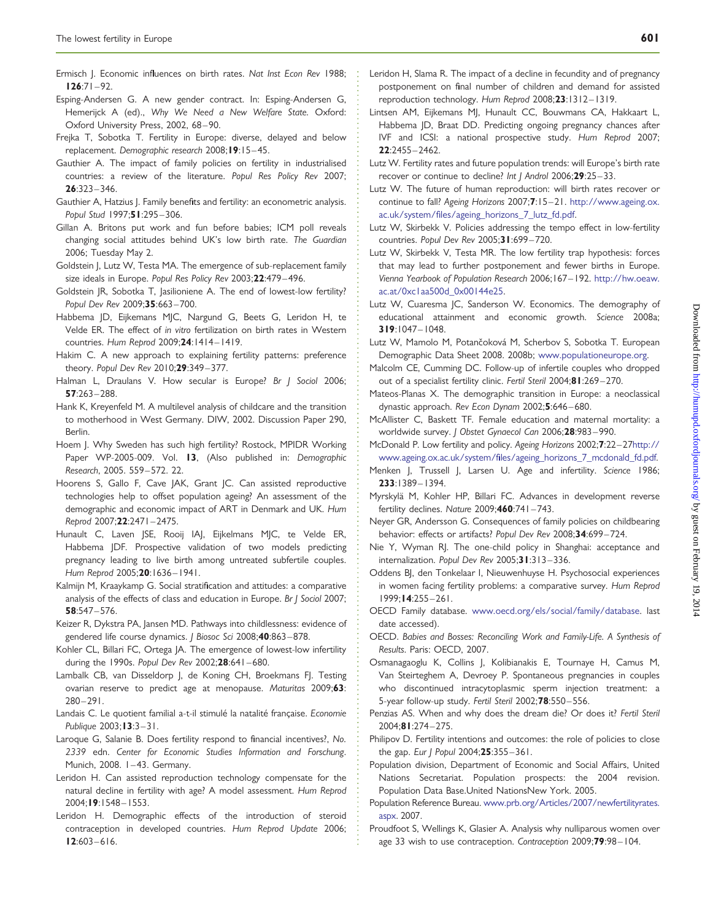- <span id="page-11-0"></span>Ermisch J. Economic influences on birth rates. Nat Inst Econ Rev 1988:  $126:71-92.$
- Esping-Andersen G. A new gender contract. In: Esping-Andersen G, Hemerijck A (ed)., Why We Need a New Welfare State. Oxford: Oxford University Press, 2002, 68-90.
- Frejka T, Sobotka T. Fertility in Europe: diverse, delayed and below replacement. Demographic research 2008;19:15 – 45.
- Gauthier A. The impact of family policies on fertility in industrialised countries: a review of the literature. Popul Res Policy Rev 2007;  $26:323 - 346.$
- Gauthier A, Hatzius J. Family benefits and fertility: an econometric analysis. Popul Stud 1997;51:295-306.
- Gillan A. Britons put work and fun before babies; ICM poll reveals changing social attitudes behind UK's low birth rate. The Guardian 2006; Tuesday May 2.
- Goldstein J, Lutz W, Testa MA. The emergence of sub-replacement family size ideals in Europe. Popul Res Policy Rev 2003;22:479-496.
- Goldstein JR, Sobotka T, Jasilioniene A. The end of lowest-low fertility? Popul Dev Rev 2009;35:663-700.
- Habbema JD, Eijkemans MJC, Nargund G, Beets G, Leridon H, te Velde ER. The effect of in vitro fertilization on birth rates in Western countries. Hum Reprod 2009;24:1414– 1419.
- Hakim C. A new approach to explaining fertility patterns: preference theory. Popul Dev Rev 2010;29:349 – 377.
- Halman L, Draulans V. How secular is Europe? Br J Sociol 2006; 57:263– 288.
- Hank K, Kreyenfeld M. A multilevel analysis of childcare and the transition to motherhood in West Germany. DIW, 2002. Discussion Paper 290, Berlin.
- Hoem J. Why Sweden has such high fertility? Rostock, MPIDR Working Paper WP-2005-009. Vol. 13, (Also published in: Demographic Research, 2005. 559 – 572. 22.
- Hoorens S, Gallo F, Cave JAK, Grant JC. Can assisted reproductive technologies help to offset population ageing? An assessment of the demographic and economic impact of ART in Denmark and UK. Hum Reprod 2007;22:2471– 2475.
- Hunault C, Laven JSE, Rooij IAJ, Eijkelmans MJC, te Velde ER, Habbema JDF. Prospective validation of two models predicting pregnancy leading to live birth among untreated subfertile couples. Hum Reprod 2005;20:1636-1941.
- Kalmijn M, Kraaykamp G. Social stratification and attitudes: a comparative analysis of the effects of class and education in Europe. Br J Sociol 2007; 58:547– 576.
- Keizer R, Dykstra PA, Jansen MD. Pathways into childlessness: evidence of gendered life course dynamics. J Biosoc Sci 2008;40:863 – 878.
- Kohler CL, Billari FC, Ortega JA. The emergence of lowest-low infertility during the 1990s. Popul Dev Rev 2002;28:641-680.
- Lambalk CB, van Disseldorp J, de Koning CH, Broekmans FJ. Testing ovarian reserve to predict age at menopause. Maturitas 2009;63:  $280 - 291$ .
- Landais C. Le quotient familial a-t-il stimulé la natalité française. Economie Publique  $2003; 13:3 - 31$ .
- Laroque G, Salanie B. Does fertility respond to financial incentives?, No. 2339 edn. Center for Economic Studies Information and Forschung. Munich, 2008. 1-43. Germany.
- Leridon H. Can assisted reproduction technology compensate for the natural decline in fertility with age? A model assessment. Hum Reprod 2004;19:1548 – 1553.
- Leridon H. Demographic effects of the introduction of steroid contraception in developed countries. Hum Reprod Update 2006;  $12:603 - 616.$
- Leridon H, Slama R. The impact of a decline in fecundity and of pregnancy postponement on final number of children and demand for assisted reproduction technology. Hum Reprod 2008;23:1312-1319.
- Lintsen AM, Eijkemans MJ, Hunault CC, Bouwmans CA, Hakkaart L, Habbema JD, Braat DD. Predicting ongoing pregnancy chances after IVF and ICSI: a national prospective study. Hum Reprod 2007; 22:2455– 2462.
- Lutz W. Fertility rates and future population trends: will Europe's birth rate recover or continue to decline? Int J Androl 2006;29:25-33.
- Lutz W. The future of human reproduction: will birth rates recover or continue to fall? Ageing Horizons 2007;7:15-21. [http://www.ageing.ox.](http://www.ageing.ox.ac.uk/system/files/ageing_horizons_7_lutz_fd.pdf) [ac.uk/system/files/ageing\\_horizons\\_7\\_lutz\\_fd.pdf.](http://www.ageing.ox.ac.uk/system/files/ageing_horizons_7_lutz_fd.pdf)
- Lutz W, Skirbekk V. Policies addressing the tempo effect in low-fertility countries. Popul Dev Rev 2005;31:699-720.
- Lutz W, Skirbekk V, Testa MR. The low fertility trap hypothesis: forces that may lead to further postponement and fewer births in Europe. Vienna Yearbook of Population Research 2006;167– 192. [http://hw.oeaw.](http://hw.oeaw.ac.at/0xc1aa500d_0x00144e25) [ac.at/0xc1aa500d\\_0x00144e25](http://hw.oeaw.ac.at/0xc1aa500d_0x00144e25).
- Lutz W, Cuaresma JC, Sanderson W. Economics. The demography of educational attainment and economic growth. Science 2008a; 319:1047– 1048.
- Lutz W, Mamolo M, Potančoková M, Scherbov S, Sobotka T. European Demographic Data Sheet 2008. 2008b; [www.populationeurope.org.](www.populationeurope.org)
- Malcolm CE, Cumming DC. Follow-up of infertile couples who dropped out of a specialist fertility clinic. Fertil Steril 2004;81:269-270.
- Mateos-Planas X. The demographic transition in Europe: a neoclassical dynastic approach. Rev Econ Dynam 2002;5:646-680.
- McAllister C, Baskett TF. Female education and maternal mortality: a worldwide survey. | Obstet Gynaecol Can 2006;28:983-990.
- McDonald P. Low fertility and policy. Ageing Horizons 2002;7:22–2[7http://](http://www.ageing.ox.ac.uk/system/files/ageing_horizons_7_mcdonald_fd.pdf)
- [www.ageing.ox.ac.uk/system/files/ageing\\_horizons\\_7\\_mcdonald\\_fd.pdf.](http://www.ageing.ox.ac.uk/system/files/ageing_horizons_7_mcdonald_fd.pdf) Menken J, Trussell J, Larsen U. Age and infertility. Science 1986; 233:1389– 1394.
- Myrskyla¨ M, Kohler HP, Billari FC. Advances in development reverse fertility declines. Nature 2009;460:741 – 743.
- Neyer GR, Andersson G. Consequences of family policies on childbearing behavior: effects or artifacts? Popul Dev Rev 2008;34:699-724.
- Nie Y, Wyman RJ. The one-child policy in Shanghai: acceptance and internalization. Popul Dev Rev 2005;31:313 – 336.
- Oddens BJ, den Tonkelaar I, Nieuwenhuyse H. Psychosocial experiences in women facing fertility problems: a comparative survey. Hum Reprod 1999;14:255 – 261.
- OECD Family database. [www.oecd.org/els/social/family/database.](www.oecd.org/els/social/family/database) last date accessed).
- OECD. Babies and Bosses: Reconciling Work and Family-Life. A Synthesis of Results. Paris: OECD, 2007.
- Osmanagaoglu K, Collins J, Kolibianakis E, Tournaye H, Camus M, Van Steirteghem A, Devroey P. Spontaneous pregnancies in couples who discontinued intracytoplasmic sperm injection treatment: a 5-year follow-up study. Fertil Steril 2002;78:550 – 556.
- Penzias AS. When and why does the dream die? Or does it? Fertil Steril  $2004:81:274 - 275$ .
- Philipov D. Fertility intentions and outcomes: the role of policies to close the gap. Eur | Popul 2004;25:355-361.
- Population division, Department of Economic and Social Affairs, United Nations Secretariat. Population prospects: the 2004 revision. Population Data Base.United NationsNew York. 2005.
- Population Reference Bureau. [www.prb.org/Articles/2007/newfertilityrates.](www.prb.org/Articles/2007/newfertilityrates.aspx) [aspx](www.prb.org/Articles/2007/newfertilityrates.aspx). 2007.
- Proudfoot S, Wellings K, Glasier A. Analysis why nulliparous women over age 33 wish to use contraception. Contraception 2009;79:98-104.